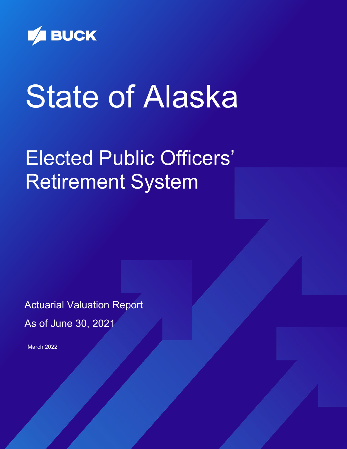

# State of Alaska

## Elected Public Officers' Retirement System

Actuarial Valuation Report As of June 30, 2021

March 2022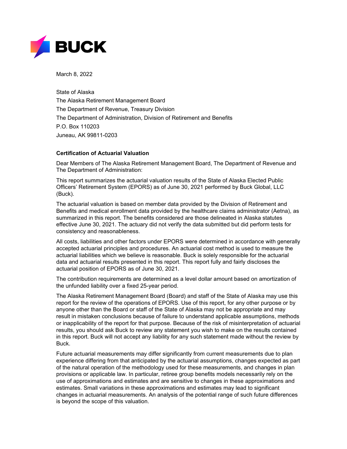

March 8, 2022

State of Alaska The Alaska Retirement Management Board The Department of Revenue, Treasury Division The Department of Administration, Division of Retirement and Benefits P.O. Box 110203 Juneau, AK 99811-0203

#### **Certification of Actuarial Valuation**

Dear Members of The Alaska Retirement Management Board, The Department of Revenue and The Department of Administration:

This report summarizes the actuarial valuation results of the State of Alaska Elected Public Officers' Retirement System (EPORS) as of June 30, 2021 performed by Buck Global, LLC (Buck).

The actuarial valuation is based on member data provided by the Division of Retirement and Benefits and medical enrollment data provided by the healthcare claims administrator (Aetna), as summarized in this report. The benefits considered are those delineated in Alaska statutes effective June 30, 2021. The actuary did not verify the data submitted but did perform tests for consistency and reasonableness.

All costs, liabilities and other factors under EPORS were determined in accordance with generally accepted actuarial principles and procedures. An actuarial cost method is used to measure the actuarial liabilities which we believe is reasonable. Buck is solely responsible for the actuarial data and actuarial results presented in this report. This report fully and fairly discloses the actuarial position of EPORS as of June 30, 2021.

The contribution requirements are determined as a level dollar amount based on amortization of the unfunded liability over a fixed 25-year period.

The Alaska Retirement Management Board (Board) and staff of the State of Alaska may use this report for the review of the operations of EPORS. Use of this report, for any other purpose or by anyone other than the Board or staff of the State of Alaska may not be appropriate and may result in mistaken conclusions because of failure to understand applicable assumptions, methods or inapplicability of the report for that purpose. Because of the risk of misinterpretation of actuarial results, you should ask Buck to review any statement you wish to make on the results contained in this report. Buck will not accept any liability for any such statement made without the review by Buck.

Future actuarial measurements may differ significantly from current measurements due to plan experience differing from that anticipated by the actuarial assumptions, changes expected as part of the natural operation of the methodology used for these measurements, and changes in plan provisions or applicable law. In particular, retiree group benefits models necessarily rely on the use of approximations and estimates and are sensitive to changes in these approximations and estimates. Small variations in these approximations and estimates may lead to significant changes in actuarial measurements. An analysis of the potential range of such future differences is beyond the scope of this valuation.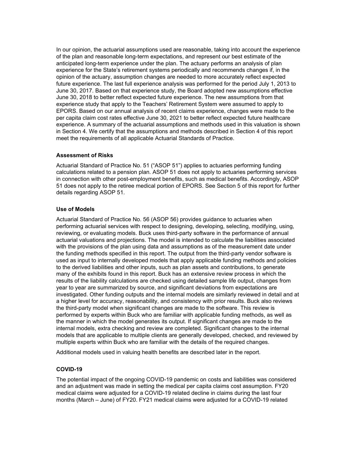In our opinion, the actuarial assumptions used are reasonable, taking into account the experience of the plan and reasonable long-term expectations, and represent our best estimate of the anticipated long-term experience under the plan. The actuary performs an analysis of plan experience for the State's retirement systems periodically and recommends changes if, in the opinion of the actuary, assumption changes are needed to more accurately reflect expected future experience. The last full experience analysis was performed for the period July 1, 2013 to June 30, 2017. Based on that experience study, the Board adopted new assumptions effective June 30, 2018 to better reflect expected future experience. The new assumptions from that experience study that apply to the Teachers' Retirement System were assumed to apply to EPORS. Based on our annual analysis of recent claims experience, changes were made to the per capita claim cost rates effective June 30, 2021 to better reflect expected future healthcare experience. A summary of the actuarial assumptions and methods used in this valuation is shown in Section 4. We certify that the assumptions and methods described in Section 4 of this report meet the requirements of all applicable Actuarial Standards of Practice.

#### **Assessment of Risks**

Actuarial Standard of Practice No. 51 ("ASOP 51") applies to actuaries performing funding calculations related to a pension plan. ASOP 51 does not apply to actuaries performing services in connection with other post-employment benefits, such as medical benefits. Accordingly, ASOP 51 does not apply to the retiree medical portion of EPORS. See Section 5 of this report for further details regarding ASOP 51.

#### **Use of Models**

Actuarial Standard of Practice No. 56 (ASOP 56) provides guidance to actuaries when performing actuarial services with respect to designing, developing, selecting, modifying, using, reviewing, or evaluating models. Buck uses third-party software in the performance of annual actuarial valuations and projections. The model is intended to calculate the liabilities associated with the provisions of the plan using data and assumptions as of the measurement date under the funding methods specified in this report. The output from the third-party vendor software is used as input to internally developed models that apply applicable funding methods and policies to the derived liabilities and other inputs, such as plan assets and contributions, to generate many of the exhibits found in this report. Buck has an extensive review process in which the results of the liability calculations are checked using detailed sample life output, changes from year to year are summarized by source, and significant deviations from expectations are investigated. Other funding outputs and the internal models are similarly reviewed in detail and at a higher level for accuracy, reasonability, and consistency with prior results. Buck also reviews the third-party model when significant changes are made to the software. This review is performed by experts within Buck who are familiar with applicable funding methods, as well as the manner in which the model generates its output. If significant changes are made to the internal models, extra checking and review are completed. Significant changes to the internal models that are applicable to multiple clients are generally developed, checked, and reviewed by multiple experts within Buck who are familiar with the details of the required changes.

Additional models used in valuing health benefits are described later in the report.

#### **COVID-19**

The potential impact of the ongoing COVID-19 pandemic on costs and liabilities was considered and an adjustment was made in setting the medical per capita claims cost assumption. FY20 medical claims were adjusted for a COVID-19 related decline in claims during the last four months (March – June) of FY20. FY21 medical claims were adjusted for a COVID-19 related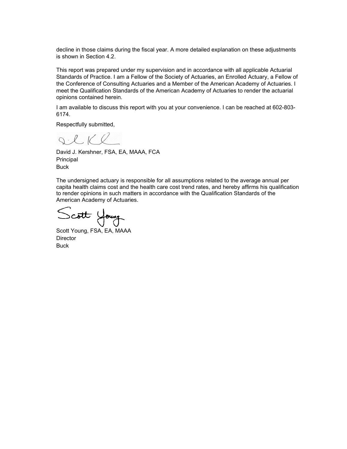decline in those claims during the fiscal year. A more detailed explanation on these adjustments is shown in Section 4.2.

This report was prepared under my supervision and in accordance with all applicable Actuarial Standards of Practice. I am a Fellow of the Society of Actuaries, an Enrolled Actuary, a Fellow of the Conference of Consulting Actuaries and a Member of the American Academy of Actuaries. I meet the Qualification Standards of the American Academy of Actuaries to render the actuarial opinions contained herein.

I am available to discuss this report with you at your convenience. I can be reached at 602-803- 6174.

Respectfully submitted,

 $Q.\mathcal{L}$ 

David J. Kershner, FSA, EA, MAAA, FCA Principal Buck

The undersigned actuary is responsible for all assumptions related to the average annual per capita health claims cost and the health care cost trend rates, and hereby affirms his qualification to render opinions in such matters in accordance with the Qualification Standards of the American Academy of Actuaries.

Scott Young

Scott Young, FSA, EA, MAAA **Director Buck**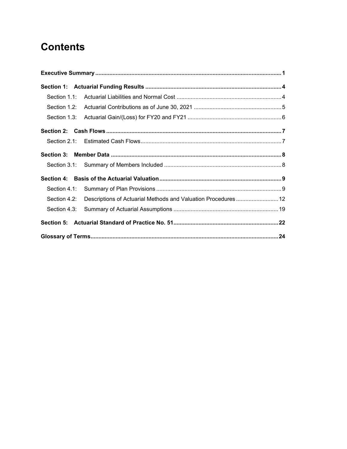## **Contents**

<span id="page-4-0"></span>

| Section 4.2: Descriptions of Actuarial Methods and Valuation Procedures  12 |  |
|-----------------------------------------------------------------------------|--|
|                                                                             |  |
|                                                                             |  |
|                                                                             |  |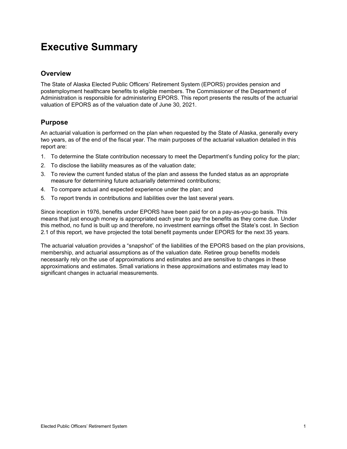## **Executive Summary**

#### **Overview**

The State of Alaska Elected Public Officers' Retirement System (EPORS) provides pension and postemployment healthcare benefits to eligible members. The Commissioner of the Department of Administration is responsible for administering EPORS. This report presents the results of the actuarial valuation of EPORS as of the valuation date of June 30, 2021.

#### **Purpose**

An actuarial valuation is performed on the plan when requested by the State of Alaska, generally every two years, as of the end of the fiscal year. The main purposes of the actuarial valuation detailed in this report are:

- 1. To determine the State contribution necessary to meet the Department's funding policy for the plan;
- 2. To disclose the liability measures as of the valuation date;
- 3. To review the current funded status of the plan and assess the funded status as an appropriate measure for determining future actuarially determined contributions;
- 4. To compare actual and expected experience under the plan; and
- 5. To report trends in contributions and liabilities over the last several years.

Since inception in 1976, benefits under EPORS have been paid for on a pay-as-you-go basis. This means that just enough money is appropriated each year to pay the benefits as they come due. Under this method, no fund is built up and therefore, no investment earnings offset the State's cost. In Section 2.1 of this report, we have projected the total benefit payments under EPORS for the next 35 years.

The actuarial valuation provides a "snapshot" of the liabilities of the EPORS based on the plan provisions, membership, and actuarial assumptions as of the valuation date. Retiree group benefits models necessarily rely on the use of approximations and estimates and are sensitive to changes in these approximations and estimates. Small variations in these approximations and estimates may lead to significant changes in actuarial measurements.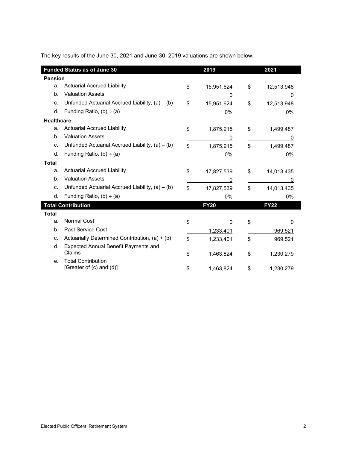The key results of the June 30, 2021 and June 30, 2019 valuations are shown below.

|                   | <b>Funded Status as of June 30</b>                    | 2019             | 2021             |  |  |
|-------------------|-------------------------------------------------------|------------------|------------------|--|--|
| <b>Pension</b>    |                                                       |                  |                  |  |  |
| a.                | <b>Actuarial Accrued Liability</b>                    | \$<br>15,951,624 | \$<br>12,513,948 |  |  |
| b.                | <b>Valuation Assets</b>                               | 0                |                  |  |  |
| C.                | Unfunded Actuarial Accrued Liability, $(a) - (b)$     | \$<br>15,951,624 | \$<br>12,513,948 |  |  |
| d.                | Funding Ratio, $(b) \div (a)$                         | 0%               | 0%               |  |  |
| <b>Healthcare</b> |                                                       |                  |                  |  |  |
| a.                | <b>Actuarial Accrued Liability</b>                    | \$<br>1,875,915  | \$<br>1,499,487  |  |  |
| b.                | <b>Valuation Assets</b>                               | 0                | 0                |  |  |
| C.                | Unfunded Actuarial Accrued Liability, $(a) - (b)$     | \$<br>1,875,915  | \$<br>1,499,487  |  |  |
| d.                | Funding Ratio, $(b) \div (a)$                         | 0%               | 0%               |  |  |
| <b>Total</b>      |                                                       |                  |                  |  |  |
| a.                | <b>Actuarial Accrued Liability</b>                    | \$<br>17,827,539 | \$<br>14,013,435 |  |  |
| b.                | <b>Valuation Assets</b>                               | 0                | 0                |  |  |
| c.                | Unfunded Actuarial Accrued Liability, $(a) - (b)$     | \$<br>17,827,539 | \$<br>14,013,435 |  |  |
| d.                | Funding Ratio, $(b) \div (a)$                         | 0%               | 0%               |  |  |
|                   | <b>Total Contribution</b>                             | <b>FY20</b>      | <b>FY22</b>      |  |  |
| <b>Total</b>      |                                                       |                  |                  |  |  |
| a.                | <b>Normal Cost</b>                                    | \$<br>$\Omega$   | \$<br>0          |  |  |
| b.                | Past Service Cost                                     | 1,233,401        | 969,521          |  |  |
| C.                | Actuarially Determined Contribution, $(a) + (b)$      | \$<br>1,233,401  | \$<br>969,521    |  |  |
| d.                | Expected Annual Benefit Payments and<br>Claims        | \$<br>1,463,824  | \$<br>1,230,279  |  |  |
| e.                | <b>Total Contribution</b><br>[Greater of (c) and (d)] | \$<br>1,463,824  | \$<br>1,230,279  |  |  |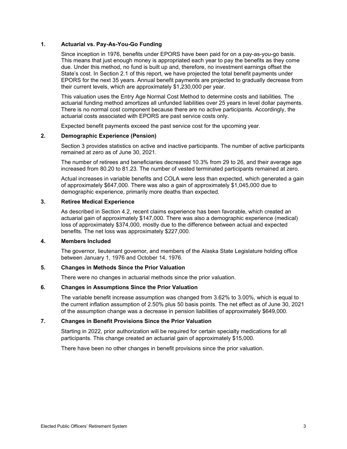#### **1. Actuarial vs. Pay-As-You-Go Funding**

Since inception in 1976, benefits under EPORS have been paid for on a pay-as-you-go basis. This means that just enough money is appropriated each year to pay the benefits as they come due. Under this method, no fund is built up and, therefore, no investment earnings offset the State's cost. In Section 2.1 of this report, we have projected the total benefit payments under EPORS for the next 35 years. Annual benefit payments are projected to gradually decrease from their current levels, which are approximately \$1,230,000 per year.

This valuation uses the Entry Age Normal Cost Method to determine costs and liabilities. The actuarial funding method amortizes all unfunded liabilities over 25 years in level dollar payments. There is no normal cost component because there are no active participants. Accordingly, the actuarial costs associated with EPORS are past service costs only.

Expected benefit payments exceed the past service cost for the upcoming year.

#### **2. Demographic Experience (Pension)**

Section 3 provides statistics on active and inactive participants. The number of active participants remained at zero as of June 30, 2021.

The number of retirees and beneficiaries decreased 10.3% from 29 to 26, and their average age increased from 80.20 to 81.23. The number of vested terminated participants remained at zero.

Actual increases in variable benefits and COLA were less than expected, which generated a gain of approximately \$647,000. There was also a gain of approximately \$1,045,000 due to demographic experience, primarily more deaths than expected.

#### **3. Retiree Medical Experience**

As described in Section 4.2, recent claims experience has been favorable, which created an actuarial gain of approximately \$147,000. There was also a demographic experience (medical) loss of approximately \$374,000, mostly due to the difference between actual and expected benefits. The net loss was approximately \$227,000.

#### **4. Members Included**

The governor, lieutenant governor, and members of the Alaska State Legislature holding office between January 1, 1976 and October 14, 1976.

#### **5. Changes in Methods Since the Prior Valuation**

There were no changes in actuarial methods since the prior valuation.

#### **6. Changes in Assumptions Since the Prior Valuation**

The variable benefit increase assumption was changed from 3.62% to 3.00%, which is equal to the current inflation assumption of 2.50% plus 50 basis points. The net effect as of June 30, 2021 of the assumption change was a decrease in pension liabilities of approximately \$649,000.

#### **7. Changes in Benefit Provisions Since the Prior Valuation**

Starting in 2022, prior authorization will be required for certain specialty medications for all participants. This change created an actuarial gain of approximately \$15,000.

There have been no other changes in benefit provisions since the prior valuation.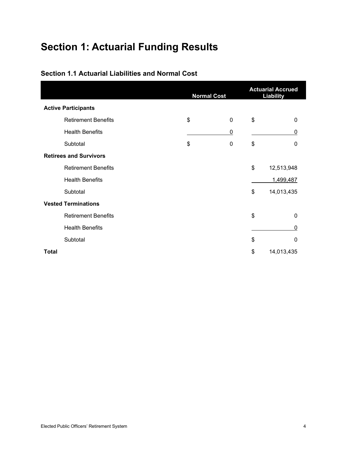## <span id="page-8-0"></span>**Section 1: Actuarial Funding Results**

|                               | <b>Normal Cost</b> | <b>Actuarial Accrued</b><br><b>Liability</b> |    |            |  |
|-------------------------------|--------------------|----------------------------------------------|----|------------|--|
| <b>Active Participants</b>    |                    |                                              |    |            |  |
| <b>Retirement Benefits</b>    | \$                 | $\mathbf 0$                                  | \$ | 0          |  |
| <b>Health Benefits</b>        |                    | 0                                            |    | 0          |  |
| Subtotal                      | \$                 | $\mathbf 0$                                  | \$ | 0          |  |
| <b>Retirees and Survivors</b> |                    |                                              |    |            |  |
| <b>Retirement Benefits</b>    |                    |                                              | \$ | 12,513,948 |  |
| <b>Health Benefits</b>        |                    |                                              |    | 1,499,487  |  |
| Subtotal                      |                    |                                              | \$ | 14,013,435 |  |
| <b>Vested Terminations</b>    |                    |                                              |    |            |  |
| <b>Retirement Benefits</b>    |                    |                                              | \$ | 0          |  |
| <b>Health Benefits</b>        |                    |                                              |    | 0          |  |
| Subtotal                      |                    |                                              | \$ | 0          |  |
| <b>Total</b>                  |                    |                                              | \$ | 14,013,435 |  |

#### <span id="page-8-1"></span>**Section 1.1 Actuarial Liabilities and Normal Cost**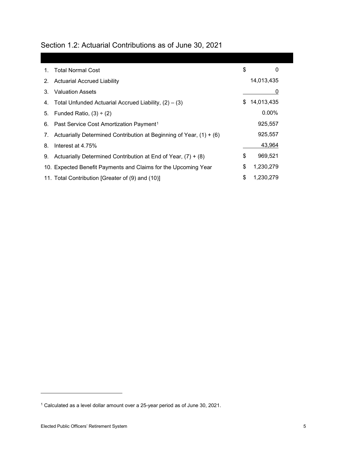<span id="page-9-0"></span>

|  |  |  | Section 1.2: Actuarial Contributions as of June 30, 2021 |  |  |  |  |
|--|--|--|----------------------------------------------------------|--|--|--|--|
|--|--|--|----------------------------------------------------------|--|--|--|--|

| $1_{-}$ | <b>Total Normal Cost</b>                                              | \$<br>0          |
|---------|-----------------------------------------------------------------------|------------------|
| 2.      | <b>Actuarial Accrued Liability</b>                                    | 14,013,435       |
| 3.      | <b>Valuation Assets</b>                                               |                  |
| 4.      | Total Unfunded Actuarial Accrued Liability, $(2) - (3)$               | \$<br>14,013,435 |
| 5.      | Funded Ratio, $(3) \div (2)$                                          | $0.00\%$         |
|         | 6. Past Service Cost Amortization Payment <sup>1</sup>                | 925,557          |
| 7.      | Actuarially Determined Contribution at Beginning of Year, $(1) + (6)$ | 925,557          |
| 8.      | Interest at 4.75%                                                     | 43,964           |
| 9.      | Actuarially Determined Contribution at End of Year, $(7) + (8)$       | \$<br>969,521    |
|         | 10. Expected Benefit Payments and Claims for the Upcoming Year        | \$<br>1,230,279  |
|         | 11. Total Contribution [Greater of (9) and (10)]                      | \$<br>1,230,279  |

<span id="page-9-1"></span><sup>1</sup> Calculated as a level dollar amount over a 25-year period as of June 30, 2021.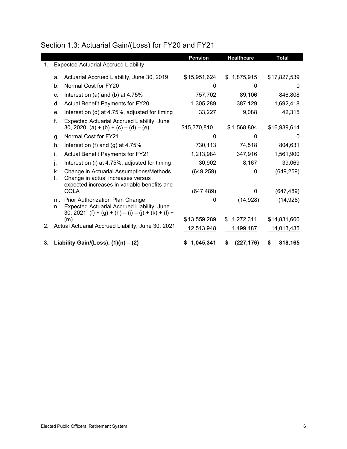### <span id="page-10-0"></span>Section 1.3: Actuarial Gain/(Loss) for FY20 and FY21

|    |          |                                                                                                                             | <b>Pension</b> | <b>Healthcare</b> | <b>Total</b>      |
|----|----------|-----------------------------------------------------------------------------------------------------------------------------|----------------|-------------------|-------------------|
| 1. |          | <b>Expected Actuarial Accrued Liability</b>                                                                                 |                |                   |                   |
|    | a.       | Actuarial Accrued Liability, June 30, 2019                                                                                  | \$15,951,624   | \$1,875,915       | \$17,827,539      |
|    | b.       | Normal Cost for FY20                                                                                                        | $\Omega$       | 0                 | 0                 |
|    | c.       | Interest on (a) and (b) at 4.75%                                                                                            | 757,702        | 89,106            | 846,808           |
|    | d.       | Actual Benefit Payments for FY20                                                                                            | 1,305,289      | 387,129           | 1,692,418         |
|    | е.       | Interest on (d) at 4.75%, adjusted for timing                                                                               | 33,227         | 9,088             | 42,315            |
|    | f.       | Expected Actuarial Accrued Liability, June<br>30, 2020, (a) + (b) + (c) – (d) – (e)                                         | \$15,370,810   | \$1,568,804       | \$16,939,614      |
|    | g.       | Normal Cost for FY21                                                                                                        | 0              | O                 | 0                 |
|    | h.       | Interest on $(f)$ and $(g)$ at 4.75%                                                                                        | 730,113        | 74,518            | 804,631           |
|    | i.       | Actual Benefit Payments for FY21                                                                                            | 1,213,984      | 347,916           | 1,561,900         |
|    | j.       | Interest on (i) at 4.75%, adjusted for timing                                                                               | 30,902         | 8,167             | 39,069            |
|    | k.<br>I. | Change in Actuarial Assumptions/Methods<br>Change in actual increases versus<br>expected increases in variable benefits and | (649, 259)     | 0                 | (649, 259)        |
|    |          | COLA                                                                                                                        | (647, 489)     | 0                 | (647, 489)        |
|    | m.       | Prior Authorization Plan Change                                                                                             | 0              | (14, 928)         | (14,928)          |
|    | n.       | Expected Actuarial Accrued Liability, June<br>30, 2021, $(f) + (g) + (h) - (i) - (j) + (k) + (l) +$                         |                |                   |                   |
|    |          | (m)                                                                                                                         | \$13,559,289   | 1,272,311<br>\$.  | \$14,831,600      |
| 2. |          | Actual Actuarial Accrued Liability, June 30, 2021                                                                           | 12,513,948     | <u>1,499,487</u>  | <u>14,013,435</u> |
| 3. |          | Liability Gain/(Loss), $(1)(n) - (2)$                                                                                       | 1,045,341      | (227, 176)<br>S   | 818,165<br>S      |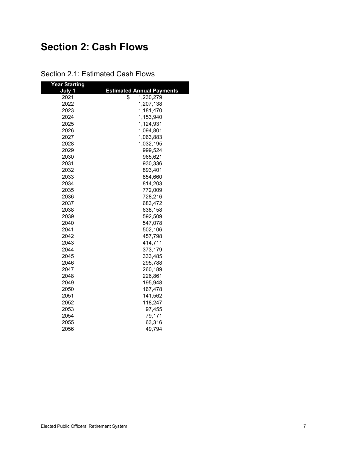## <span id="page-11-0"></span>**Section 2: Cash Flows**

| <b>Year Starting</b> |                                  |
|----------------------|----------------------------------|
| July 1               | <b>Estimated Annual Payments</b> |
| 2021                 | \$<br>1,230,279                  |
| 2022                 | 1,207,138                        |
| 2023                 | 1,181,470                        |
| 2024                 | 1,153,940                        |
| 2025                 | 1,124,931                        |
| 2026                 | 1,094,801                        |
| 2027                 | 1,063,883                        |
| 2028                 | 1,032,195                        |
| 2029                 | 999,524                          |
| 2030                 | 965,621                          |
| 2031                 | 930,336                          |
| 2032                 | 893,401                          |
| 2033                 | 854,660                          |
| 2034                 | 814,203                          |
| 2035                 | 772,009                          |
| 2036                 | 728,216                          |
| 2037                 | 683,472                          |
| 2038                 | 638,158                          |
| 2039                 | 592,509                          |
| 2040                 | 547,078                          |
| 2041                 | 502,106                          |
| 2042                 | 457,798                          |
| 2043                 | 414,711                          |
| 2044                 | 373,179                          |
| 2045                 | 333,485                          |
| 2046                 | 295,788                          |
| 2047                 | 260,189                          |
| 2048                 | 226,861                          |
| 2049                 | 195,948                          |
| 2050                 | 167,478                          |
| 2051                 | 141,562                          |
| 2052                 | 118,247                          |
| 2053                 | 97,455                           |
| 2054                 | 79,171                           |
| 2055                 | 63,316                           |
| 2056                 | 49,794                           |

<span id="page-11-1"></span>Section 2.1: Estimated Cash Flows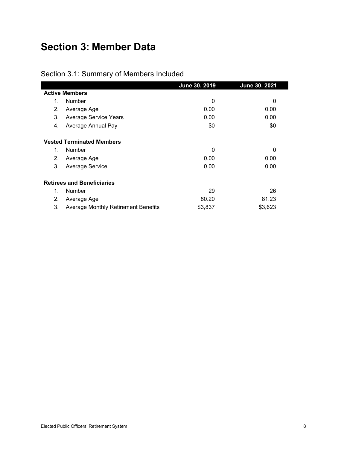## <span id="page-12-0"></span>**Section 3: Member Data**

<span id="page-12-1"></span>

|  | Section 3.1: Summary of Members Included |
|--|------------------------------------------|
|--|------------------------------------------|

|    |                                            | June 30, 2019 | June 30, 2021 |
|----|--------------------------------------------|---------------|---------------|
|    | <b>Active Members</b>                      |               |               |
| 1. | <b>Number</b>                              | 0             | 0             |
| 2. | Average Age                                | 0.00          | 0.00          |
| 3. | <b>Average Service Years</b>               | 0.00          | 0.00          |
| 4. | Average Annual Pay                         | \$0           | \$0           |
|    | <b>Vested Terminated Members</b>           |               |               |
| 1. | <b>Number</b>                              | 0             | 0             |
| 2. | Average Age                                | 0.00          | 0.00          |
| 3. | Average Service                            | 0.00          | 0.00          |
|    | <b>Retirees and Beneficiaries</b>          |               |               |
| 1. | <b>Number</b>                              | 29            | 26            |
| 2. | Average Age                                | 80.20         | 81.23         |
| 3. | <b>Average Monthly Retirement Benefits</b> | \$3,837       | \$3,623       |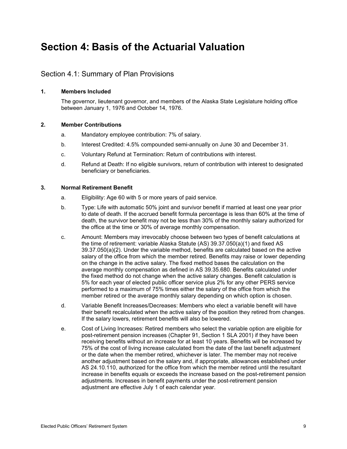## <span id="page-13-0"></span>**Section 4: Basis of the Actuarial Valuation**

#### <span id="page-13-1"></span>Section 4.1: Summary of Plan Provisions

#### **1. Members Included**

The governor, lieutenant governor, and members of the Alaska State Legislature holding office between January 1, 1976 and October 14, 1976.

#### **2. Member Contributions**

- a. Mandatory employee contribution: 7% of salary.
- b. Interest Credited: 4.5% compounded semi-annually on June 30 and December 31.
- c. Voluntary Refund at Termination: Return of contributions with interest.
- d. Refund at Death: If no eligible survivors, return of contribution with interest to designated beneficiary or beneficiaries.

#### **3. Normal Retirement Benefit**

- a. Eligibility: Age 60 with 5 or more years of paid service.
- b. Type: Life with automatic 50% joint and survivor benefit if married at least one year prior to date of death. If the accrued benefit formula percentage is less than 60% at the time of death, the survivor benefit may not be less than 30% of the monthly salary authorized for the office at the time or 30% of average monthly compensation.
- c. Amount: Members may irrevocably choose between two types of benefit calculations at the time of retirement: variable Alaska Statute (AS) 39.37.050(a)(1) and fixed AS 39.37.050(a)(2). Under the variable method, benefits are calculated based on the active salary of the office from which the member retired. Benefits may raise or lower depending on the change in the active salary. The fixed method bases the calculation on the average monthly compensation as defined in AS 39.35.680. Benefits calculated under the fixed method do not change when the active salary changes. Benefit calculation is 5% for each year of elected public officer service plus 2% for any other PERS service performed to a maximum of 75% times either the salary of the office from which the member retired or the average monthly salary depending on which option is chosen.
- d. Variable Benefit Increases/Decreases: Members who elect a variable benefit will have their benefit recalculated when the active salary of the position they retired from changes. If the salary lowers, retirement benefits will also be lowered.
- e. Cost of Living Increases: Retired members who select the variable option are eligible for post-retirement pension increases (Chapter 91, Section 1 SLA 2001) if they have been receiving benefits without an increase for at least 10 years. Benefits will be increased by 75% of the cost of living increase calculated from the date of the last benefit adjustment or the date when the member retired, whichever is later. The member may not receive another adjustment based on the salary and, if appropriate, allowances established under AS 24.10.110, authorized for the office from which the member retired until the resultant increase in benefits equals or exceeds the increase based on the post-retirement pension adjustments. Increases in benefit payments under the post-retirement pension adjustment are effective July 1 of each calendar year.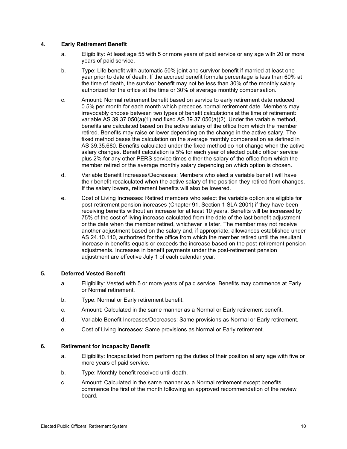#### **4. Early Retirement Benefit**

- a. Eligibility: At least age 55 with 5 or more years of paid service or any age with 20 or more years of paid service.
- b. Type: Life benefit with automatic 50% joint and survivor benefit if married at least one year prior to date of death. If the accrued benefit formula percentage is less than 60% at the time of death, the survivor benefit may not be less than 30% of the monthly salary authorized for the office at the time or 30% of average monthly compensation.
- c. Amount: Normal retirement benefit based on service to early retirement date reduced 0.5% per month for each month which precedes normal retirement date. Members may irrevocably choose between two types of benefit calculations at the time of retirement: variable AS 39.37.050(a)(1) and fixed AS 39.37.050(a)(2). Under the variable method, benefits are calculated based on the active salary of the office from which the member retired. Benefits may raise or lower depending on the change in the active salary. The fixed method bases the calculation on the average monthly compensation as defined in AS 39.35.680. Benefits calculated under the fixed method do not change when the active salary changes. Benefit calculation is 5% for each year of elected public officer service plus 2% for any other PERS service times either the salary of the office from which the member retired or the average monthly salary depending on which option is chosen.
- d. Variable Benefit Increases/Decreases: Members who elect a variable benefit will have their benefit recalculated when the active salary of the position they retired from changes. If the salary lowers, retirement benefits will also be lowered.
- e. Cost of Living Increases: Retired members who select the variable option are eligible for post-retirement pension increases (Chapter 91, Section 1 SLA 2001) if they have been receiving benefits without an increase for at least 10 years. Benefits will be increased by 75% of the cost of living increase calculated from the date of the last benefit adjustment or the date when the member retired, whichever is later. The member may not receive another adjustment based on the salary and, if appropriate, allowances established under AS 24.10.110, authorized for the office from which the member retired until the resultant increase in benefits equals or exceeds the increase based on the post-retirement pension adjustments. Increases in benefit payments under the post-retirement pension adjustment are effective July 1 of each calendar year.

#### **5. Deferred Vested Benefit**

- a. Eligibility: Vested with 5 or more years of paid service. Benefits may commence at Early or Normal retirement.
- b. Type: Normal or Early retirement benefit.
- c. Amount: Calculated in the same manner as a Normal or Early retirement benefit.
- d. Variable Benefit Increases/Decreases: Same provisions as Normal or Early retirement.
- e. Cost of Living Increases: Same provisions as Normal or Early retirement.

#### **6. Retirement for Incapacity Benefit**

- a. Eligibility: Incapacitated from performing the duties of their position at any age with five or more years of paid service.
- b. Type: Monthly benefit received until death.
- c. Amount: Calculated in the same manner as a Normal retirement except benefits commence the first of the month following an approved recommendation of the review board.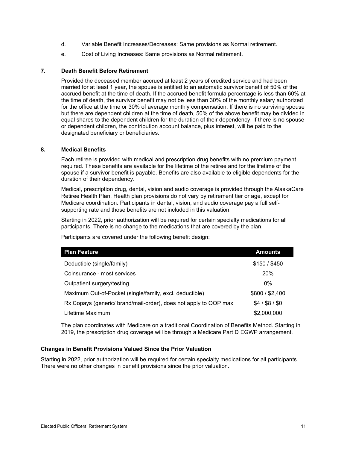- d. Variable Benefit Increases/Decreases: Same provisions as Normal retirement.
- e. Cost of Living Increases: Same provisions as Normal retirement.

#### **7. Death Benefit Before Retirement**

Provided the deceased member accrued at least 2 years of credited service and had been married for at least 1 year, the spouse is entitled to an automatic survivor benefit of 50% of the accrued benefit at the time of death. If the accrued benefit formula percentage is less than 60% at the time of death, the survivor benefit may not be less than 30% of the monthly salary authorized for the office at the time or 30% of average monthly compensation. If there is no surviving spouse but there are dependent children at the time of death, 50% of the above benefit may be divided in equal shares to the dependent children for the duration of their dependency. If there is no spouse or dependent children, the contribution account balance, plus interest, will be paid to the designated beneficiary or beneficiaries.

#### **8. Medical Benefits**

Each retiree is provided with medical and prescription drug benefits with no premium payment required. These benefits are available for the lifetime of the retiree and for the lifetime of the spouse if a survivor benefit is payable. Benefits are also available to eligible dependents for the duration of their dependency.

Medical, prescription drug, dental, vision and audio coverage is provided through the AlaskaCare Retiree Health Plan. Health plan provisions do not vary by retirement tier or age, except for Medicare coordination. Participants in dental, vision, and audio coverage pay a full selfsupporting rate and those benefits are not included in this valuation.

Starting in 2022, prior authorization will be required for certain specialty medications for all participants. There is no change to the medications that are covered by the plan.

Participants are covered under the following benefit design:

| <b>Plan Feature</b>                                              | <b>Amounts</b>  |
|------------------------------------------------------------------|-----------------|
| Deductible (single/family)                                       | \$150/\$450     |
| Coinsurance - most services                                      | 20%             |
| Outpatient surgery/testing                                       | $0\%$           |
| Maximum Out-of-Pocket (single/family, excl. deductible)          | \$800 / \$2,400 |
| Rx Copays (generic/ brand/mail-order), does not apply to OOP max | $$4/$ \$8 / \$0 |
| Lifetime Maximum                                                 | \$2,000,000     |

The plan coordinates with Medicare on a traditional Coordination of Benefits Method. Starting in 2019, the prescription drug coverage will be through a Medicare Part D EGWP arrangement.

#### **Changes in Benefit Provisions Valued Since the Prior Valuation**

Starting in 2022, prior authorization will be required for certain specialty medications for all participants. There were no other changes in benefit provisions since the prior valuation.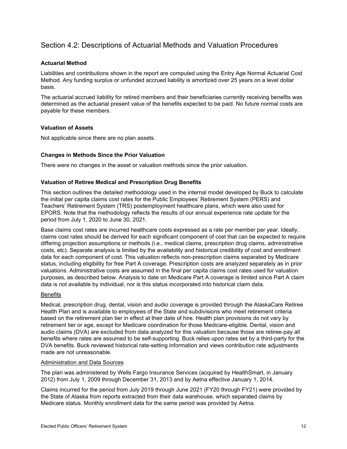#### <span id="page-16-0"></span>Section 4.2: Descriptions of Actuarial Methods and Valuation Procedures

#### **Actuarial Method**

Liabilities and contributions shown in the report are computed using the Entry Age Normal Actuarial Cost Method. Any funding surplus or unfunded accrued liability is amortized over 25 years on a level dollar basis.

The actuarial accrued liability for retired members and their beneficiaries currently receiving benefits was determined as the actuarial present value of the benefits expected to be paid. No future normal costs are payable for these members.

#### **Valuation of Assets**

Not applicable since there are no plan assets.

#### **Changes in Methods Since the Prior Valuation**

There were no changes in the asset or valuation methods since the prior valuation.

#### **Valuation of Retiree Medical and Prescription Drug Benefits**

This section outlines the detailed methodology used in the internal model developed by Buck to calculate the initial per capita claims cost rates for the Public Employees' Retirement System (PERS) and Teachers' Retirement System (TRS) postemployment healthcare plans, which were also used for EPORS. Note that the methodology reflects the results of our annual experience rate update for the period from July 1, 2020 to June 30, 2021.

Base claims cost rates are incurred healthcare costs expressed as a rate per member per year. Ideally, claims cost rates should be derived for each significant component of cost that can be expected to require differing projection assumptions or methods (i.e., medical claims, prescription drug claims, administrative costs, etc). Separate analysis is limited by the availability and historical credibility of cost and enrollment data for each component of cost. This valuation reflects non-prescription claims separated by Medicare status, including eligibility for free Part A coverage. Prescription costs are analyzed separately as in prior valuations. Administrative costs are assumed in the final per capita claims cost rates used for valuation purposes, as described below. Analysis to date on Medicare Part A coverage is limited since Part A claim data is not available by individual, nor is this status incorporated into historical claim data.

#### **Benefits**

Medical, prescription drug, dental, vision and audio coverage is provided through the AlaskaCare Retiree Health Plan and is available to employees of the State and subdivisions who meet retirement criteria based on the retirement plan tier in effect at their date of hire. Health plan provisions do not vary by retirement tier or age, except for Medicare coordination for those Medicare-eligible. Dental, vision and audio claims (DVA) are excluded from data analyzed for this valuation because those are retiree-pay all benefits where rates are assumed to be self-supporting. Buck relies upon rates set by a third-party for the DVA benefits. Buck reviewed historical rate-setting information and views contribution rate adjustments made are not unreasonable.

#### Administration and Data Sources

The plan was administered by Wells Fargo Insurance Services (acquired by HealthSmart, in January 2012) from July 1, 2009 through December 31, 2013 and by Aetna effective January 1, 2014.

Claims incurred for the period from July 2019 through June 2021 (FY20 through FY21) were provided by the State of Alaska from reports extracted from their data warehouse, which separated claims by Medicare status. Monthly enrollment data for the same period was provided by Aetna.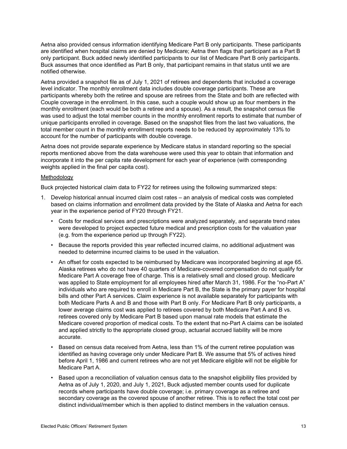Aetna also provided census information identifying Medicare Part B only participants. These participants are identified when hospital claims are denied by Medicare; Aetna then flags that participant as a Part B only participant. Buck added newly identified participants to our list of Medicare Part B only participants. Buck assumes that once identified as Part B only, that participant remains in that status until we are notified otherwise.

Aetna provided a snapshot file as of July 1, 2021 of retirees and dependents that included a coverage level indicator. The monthly enrollment data includes double coverage participants. These are participants whereby both the retiree and spouse are retirees from the State and both are reflected with Couple coverage in the enrollment. In this case, such a couple would show up as four members in the monthly enrollment (each would be both a retiree and a spouse). As a result, the snapshot census file was used to adjust the total member counts in the monthly enrollment reports to estimate that number of unique participants enrolled in coverage. Based on the snapshot files from the last two valuations, the total member count in the monthly enrollment reports needs to be reduced by approximately 13% to account for the number of participants with double coverage.

Aetna does not provide separate experience by Medicare status in standard reporting so the special reports mentioned above from the data warehouse were used this year to obtain that information and incorporate it into the per capita rate development for each year of experience (with corresponding weights applied in the final per capita cost).

#### Methodology

Buck projected historical claim data to FY22 for retirees using the following summarized steps:

- 1. Develop historical annual incurred claim cost rates an analysis of medical costs was completed based on claims information and enrollment data provided by the State of Alaska and Aetna for each year in the experience period of FY20 through FY21.
	- Costs for medical services and prescriptions were analyzed separately, and separate trend rates were developed to project expected future medical and prescription costs for the valuation year (e.g. from the experience period up through FY22).
	- Because the reports provided this year reflected incurred claims, no additional adjustment was needed to determine incurred claims to be used in the valuation.
	- An offset for costs expected to be reimbursed by Medicare was incorporated beginning at age 65. Alaska retirees who do not have 40 quarters of Medicare-covered compensation do not qualify for Medicare Part A coverage free of charge. This is a relatively small and closed group. Medicare was applied to State employment for all employees hired after March 31, 1986. For the "no-Part A" individuals who are required to enroll in Medicare Part B, the State is the primary payer for hospital bills and other Part A services. Claim experience is not available separately for participants with both Medicare Parts A and B and those with Part B only. For Medicare Part B only participants, a lower average claims cost was applied to retirees covered by both Medicare Part A and B vs. retirees covered only by Medicare Part B based upon manual rate models that estimate the Medicare covered proportion of medical costs. To the extent that no-Part A claims can be isolated and applied strictly to the appropriate closed group, actuarial accrued liability will be more accurate.
	- Based on census data received from Aetna, less than 1% of the current retiree population was identified as having coverage only under Medicare Part B. We assume that 5% of actives hired before April 1, 1986 and current retirees who are not yet Medicare eligible will not be eligible for Medicare Part A.
	- Based upon a reconciliation of valuation census data to the snapshot eligibility files provided by Aetna as of July 1, 2020, and July 1, 2021, Buck adjusted member counts used for duplicate records where participants have double coverage; i.e. primary coverage as a retiree and secondary coverage as the covered spouse of another retiree. This is to reflect the total cost per distinct individual/member which is then applied to distinct members in the valuation census.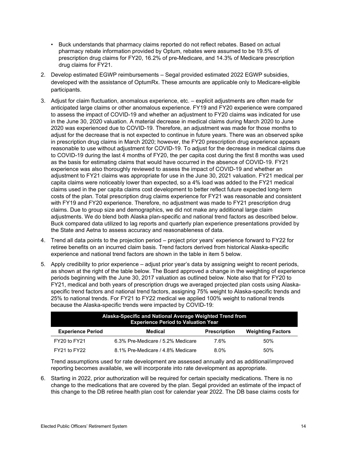- Buck understands that pharmacy claims reported do not reflect rebates. Based on actual pharmacy rebate information provided by Optum, rebates were assumed to be 19.5% of prescription drug claims for FY20, 16.2% of pre-Medicare, and 14.3% of Medicare prescription drug claims for FY21.
- 2. Develop estimated EGWP reimbursements Segal provided estimated 2022 EGWP subsidies, developed with the assistance of OptumRx. These amounts are applicable only to Medicare-eligible participants.
- 3. Adjust for claim fluctuation, anomalous experience, etc. explicit adjustments are often made for anticipated large claims or other anomalous experience. FY19 and FY20 experience were compared to assess the impact of COVID-19 and whether an adjustment to FY20 claims was indicated for use in the June 30, 2020 valuation. A material decrease in medical claims during March 2020 to June 2020 was experienced due to COVID-19. Therefore, an adjustment was made for those months to adjust for the decrease that is not expected to continue in future years. There was an observed spike in prescription drug claims in March 2020; however, the FY20 prescription drug experience appears reasonable to use without adjustment for COVID-19. To adjust for the decrease in medical claims due to COVID-19 during the last 4 months of FY20, the per capita cost during the first 8 months was used as the basis for estimating claims that would have occurred in the absence of COVID-19. FY21 experience was also thoroughly reviewed to assess the impact of COVID-19 and whether an adjustment to FY21 claims was appropriate for use in the June 30, 2021 valuation. FY21 medical per capita claims were noticeably lower than expected, so a 4% load was added to the FY21 medical claims used in the per capita claims cost development to better reflect future expected long-term costs of the plan. Total prescription drug claims experience for FY21 was reasonable and consistent with FY19 and FY20 experience. Therefore, no adjustment was made to FY21 prescription drug claims. Due to group size and demographics, we did not make any additional large claim adjustments. We do blend both Alaska plan-specific and national trend factors as described below. Buck compared data utilized to lag reports and quarterly plan experience presentations provided by the State and Aetna to assess accuracy and reasonableness of data.
- 4. Trend all data points to the projection period project prior years' experience forward to FY22 for retiree benefits on an incurred claim basis. Trend factors derived from historical Alaska-specific experience and national trend factors are shown in the table in item 5 below.
- 5. Apply credibility to prior experience adjust prior year's data by assigning weight to recent periods, as shown at the right of the table below. The Board approved a change in the weighting of experience periods beginning with the June 30, 2017 valuation as outlined below. Note also that for FY20 to FY21, medical and both years of prescription drugs we averaged projected plan costs using Alaskaspecific trend factors and national trend factors, assigning 75% weight to Alaska-specific trends and 25% to national trends. For FY21 to FY22 medical we applied 100% weight to national trends because the Alaska-specific trends were impacted by COVID-19:

| Alaska-Specific and National Average Weighted Trend from<br><b>Experience Period to Valuation Year</b> |                                   |                     |                          |  |  |  |  |
|--------------------------------------------------------------------------------------------------------|-----------------------------------|---------------------|--------------------------|--|--|--|--|
| <b>Experience Period</b>                                                                               | Medical                           | <b>Prescription</b> | <b>Weighting Factors</b> |  |  |  |  |
| FY20 to FY21                                                                                           | 6.3% Pre-Medicare / 5.2% Medicare | 7.6%                | .50%                     |  |  |  |  |
| FY21 to FY22                                                                                           | 8.1% Pre-Medicare / 4.8% Medicare | 8.0%                | 50%                      |  |  |  |  |

Trend assumptions used for rate development are assessed annually and as additional/improved reporting becomes available, we will incorporate into rate development as appropriate.

6. Starting in 2022, prior authorization will be required for certain specialty medications. There is no change to the medications that are covered by the plan. Segal provided an estimate of the impact of this change to the DB retiree health plan cost for calendar year 2022. The DB base claims costs for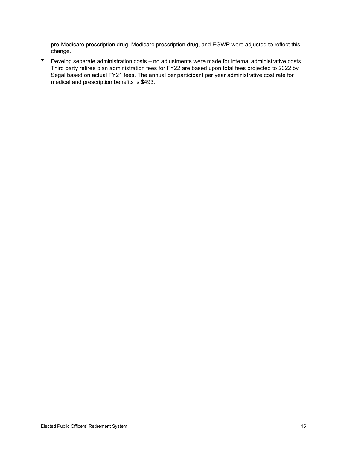pre-Medicare prescription drug, Medicare prescription drug, and EGWP were adjusted to reflect this change.

7. Develop separate administration costs – no adjustments were made for internal administrative costs. Third party retiree plan administration fees for FY22 are based upon total fees projected to 2022 by Segal based on actual FY21 fees. The annual per participant per year administrative cost rate for medical and prescription benefits is \$493.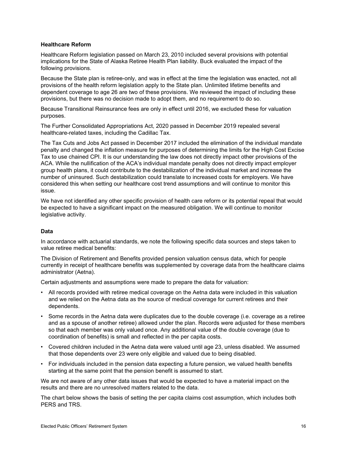#### **Healthcare Reform**

Healthcare Reform legislation passed on March 23, 2010 included several provisions with potential implications for the State of Alaska Retiree Health Plan liability. Buck evaluated the impact of the following provisions.

Because the State plan is retiree-only, and was in effect at the time the legislation was enacted, not all provisions of the health reform legislation apply to the State plan. Unlimited lifetime benefits and dependent coverage to age 26 are two of these provisions. We reviewed the impact of including these provisions, but there was no decision made to adopt them, and no requirement to do so.

Because Transitional Reinsurance fees are only in effect until 2016, we excluded these for valuation purposes.

The Further Consolidated Appropriations Act, 2020 passed in December 2019 repealed several healthcare-related taxes, including the Cadillac Tax.

The Tax Cuts and Jobs Act passed in December 2017 included the elimination of the individual mandate penalty and changed the inflation measure for purposes of determining the limits for the High Cost Excise Tax to use chained CPI. It is our understanding the law does not directly impact other provisions of the ACA. While the nullification of the ACA's individual mandate penalty does not directly impact employer group health plans, it could contribute to the destabilization of the individual market and increase the number of uninsured. Such destabilization could translate to increased costs for employers. We have considered this when setting our healthcare cost trend assumptions and will continue to monitor this issue.

We have not identified any other specific provision of health care reform or its potential repeal that would be expected to have a significant impact on the measured obligation. We will continue to monitor legislative activity.

#### **Data**

In accordance with actuarial standards, we note the following specific data sources and steps taken to value retiree medical benefits:

The Division of Retirement and Benefits provided pension valuation census data, which for people currently in receipt of healthcare benefits was supplemented by coverage data from the healthcare claims administrator (Aetna).

Certain adjustments and assumptions were made to prepare the data for valuation:

- All records provided with retiree medical coverage on the Aetna data were included in this valuation and we relied on the Aetna data as the source of medical coverage for current retirees and their dependents.
- Some records in the Aetna data were duplicates due to the double coverage (i.e. coverage as a retiree and as a spouse of another retiree) allowed under the plan. Records were adjusted for these members so that each member was only valued once. Any additional value of the double coverage (due to coordination of benefits) is small and reflected in the per capita costs.
- Covered children included in the Aetna data were valued until age 23, unless disabled. We assumed that those dependents over 23 were only eligible and valued due to being disabled.
- For individuals included in the pension data expecting a future pension, we valued health benefits starting at the same point that the pension benefit is assumed to start.

We are not aware of any other data issues that would be expected to have a material impact on the results and there are no unresolved matters related to the data.

The chart below shows the basis of setting the per capita claims cost assumption, which includes both PERS and TRS.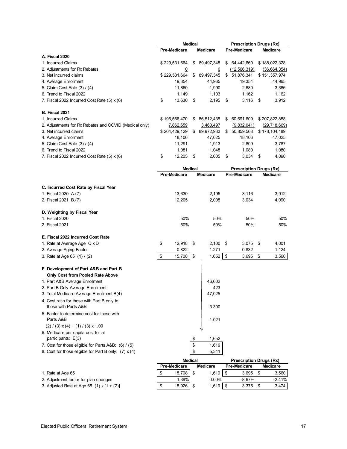|                                                                     | <b>Medical</b> |                     |    | <b>Prescription Drugs (Rx)</b> |      |                                |      |                 |
|---------------------------------------------------------------------|----------------|---------------------|----|--------------------------------|------|--------------------------------|------|-----------------|
|                                                                     |                | <b>Pre-Medicare</b> |    | <b>Medicare</b>                |      | Pre-Medicare                   |      | <b>Medicare</b> |
| A. Fiscal 2020                                                      |                |                     |    |                                |      |                                |      |                 |
| 1. Incurred Claims                                                  |                | \$229,531,664       |    | \$ 89,497,345                  |      | \$ 64,442,660                  |      | \$188,022,328   |
| 2. Adjustments for Rx Rebates                                       |                | $\overline{0}$      |    | $\overline{0}$                 |      | (12, 566, 319)                 |      | (36,664,354)    |
| 3. Net incurred claims                                              |                | \$229,531,664       | \$ | 89,497,345                     |      | \$ 51,876,341                  |      | \$151,357,974   |
| 4. Average Enrollment                                               |                | 19,354              |    | 44,965                         |      | 19,354                         |      | 44,965          |
| 5. Claim Cost Rate (3) / (4)                                        |                | 11,860              |    | 1,990                          |      | 2,680                          |      | 3,366           |
| 6. Trend to Fiscal 2022                                             |                | 1.149               |    | 1.103                          |      | 1.162                          |      | 1.162           |
| 7. Fiscal 2022 Incurred Cost Rate $(5)$ x $(6)$                     | \$             | 13,630              | \$ | 2,195                          | \$   | $3,116$ \$                     |      | 3,912           |
| B. Fiscal 2021                                                      |                |                     |    |                                |      |                                |      |                 |
| 1. Incurred Claims                                                  |                | \$196,566,470       |    | \$ 86,512,435                  |      | \$ 60,691,609                  |      | \$207,822,858   |
| 2. Adjustments for Rx Rebates and COVID (Medical only)              |                | 7,862,659           |    | 3,460,497                      |      | (9,832,041)                    |      | (29,718,669)    |
| 3. Net incurred claims                                              |                | \$204,429,129       |    | \$ 89,972,933                  |      | \$ 50,859,568                  |      | \$178,104,189   |
| 4. Average Enrollment                                               |                | 18,106              |    | 47,025                         |      | 18,106                         |      | 47,025          |
| 5. Claim Cost Rate (3) / (4)                                        |                | 11,291              |    | 1,913                          |      | 2,809                          |      | 3,787           |
| 6. Trend to Fiscal 2022                                             |                | 1.081               |    | 1.048                          |      | 1.080                          |      | 1.080           |
| 7. Fiscal 2022 Incurred Cost Rate $(5)$ x $(6)$                     | \$             | 12,205              | \$ | 2,005                          | \$   | 3,034                          | \$   | 4,090           |
|                                                                     | <b>Medical</b> |                     |    |                                |      | <b>Prescription Drugs (Rx)</b> |      |                 |
|                                                                     |                | Pre-Medicare        |    | <b>Medicare</b>                |      | <b>Pre-Medicare</b>            |      | <b>Medicare</b> |
| C. Incurred Cost Rate by Fiscal Year                                |                |                     |    |                                |      |                                |      |                 |
| 1. Fiscal 2020 A.(7)                                                |                | 13,630              |    | 2,195                          |      | 3,116                          |      | 3,912           |
| 2. Fiscal 2021 B.(7)                                                |                | 12,205              |    | 2,005                          |      | 3,034                          |      | 4,090           |
| D. Weighting by Fiscal Year                                         |                |                     |    |                                |      |                                |      |                 |
| 1. Fiscal 2020                                                      |                | 50%                 |    | 50%                            |      | 50%                            |      | 50%             |
| 2. Fiscal 2021                                                      |                | 50%                 |    | 50%                            |      | 50%                            |      | 50%             |
| E. Fiscal 2022 Incurred Cost Rate                                   |                |                     |    |                                |      |                                |      |                 |
| 1. Rate at Average Age C x D                                        | \$             | $12,918$ \$         |    | 2,100                          | - \$ | 3,075                          | - \$ | 4,001           |
| 2. Average Aging Factor                                             |                | 0.822               |    | 1.271                          |      | 0.832                          |      | 1.124           |
| 3. Rate at Age 65 (1) / (2)                                         | \$             | 15,708              | \$ | $1,652$ \$                     |      | 3,695                          | \$   | 3,560           |
| F. Development of Part A&B and Part B                               |                |                     |    |                                |      |                                |      |                 |
| Only Cost from Pooled Rate Above                                    |                |                     |    |                                |      |                                |      |                 |
| 1. Part A&B Average Enrollment                                      |                |                     |    | 46,602                         |      |                                |      |                 |
| 2. Part B Only Average Enrollment                                   |                |                     |    | 423                            |      |                                |      |                 |
| 3. Total Medicare Average Enrollment B(4)                           |                |                     |    | 47,025                         |      |                                |      |                 |
| 4. Cost ratio for those with Part B only to<br>those with Parts A&B |                |                     |    | 3.300                          |      |                                |      |                 |
| 5. Factor to determine cost for those with<br>Parts A&B             |                |                     |    | 1.021                          |      |                                |      |                 |
| $(2) / (3) \times (4) + (1) / (3) \times 1.00$                      |                |                     |    |                                |      |                                |      |                 |
| 6. Medicare per capita cost for all                                 |                |                     |    |                                |      |                                |      |                 |
| participants: E(3)                                                  |                |                     | \$ | 1,652                          |      |                                |      |                 |
| 7. Cost for those eligible for Parts A&B: (6) / (5)                 |                |                     | \$ | 1,619                          |      |                                |      |                 |
| 8. Cost for those eligible for Part B only: $(7) x (4)$             |                |                     | \$ | 5,341                          |      |                                |      |                 |
|                                                                     |                | <b>Medical</b>      |    |                                |      | <b>Prescription Drugs (Rx)</b> |      |                 |
|                                                                     |                | Pre-Medicare        |    | <b>Medicare</b>                |      | <b>Pre-Medicare</b>            |      | <b>Medicare</b> |

|                                                   | megical |                     |  | <b>Prescription Drugs (RX)</b> |  |                     |  |                 |
|---------------------------------------------------|---------|---------------------|--|--------------------------------|--|---------------------|--|-----------------|
|                                                   |         | <b>Pre-Medicare</b> |  | Medicare                       |  | <b>Pre-Medicare</b> |  | <b>Medicare</b> |
| 1. Rate at Age 65                                 |         | 15.708              |  | 1.619                          |  | 3.695               |  | 3,560           |
| 2. Adjustment factor for plan changes             |         | 1.39%               |  | $0.00\%$                       |  | $-8.67%$            |  | $-2.41%$        |
| 3. Adjusted Rate at Age 65 $(1) \times [1 + (2)]$ |         | 15.926              |  | 1.619                          |  | 3.375               |  | 3,474           |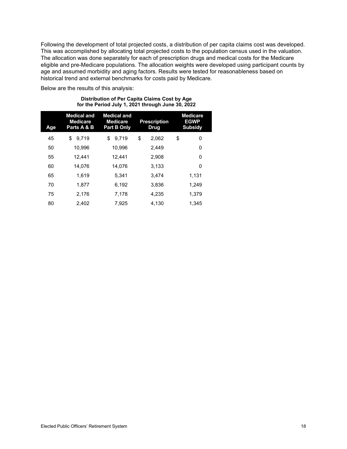Following the development of total projected costs, a distribution of per capita claims cost was developed. This was accomplished by allocating total projected costs to the population census used in the valuation. The allocation was done separately for each of prescription drugs and medical costs for the Medicare eligible and pre-Medicare populations. The allocation weights were developed using participant counts by age and assumed morbidity and aging factors. Results were tested for reasonableness based on historical trend and external benchmarks for costs paid by Medicare.

Below are the results of this analysis:

| Age | <b>Medical and</b><br><b>Medicare</b><br>Parts A & B | <b>Medical and</b><br><b>Medicare</b><br><b>Part B Only</b> | <b>Prescription</b><br><b>Drug</b> | <b>Medicare</b><br><b>EGWP</b><br><b>Subsidy</b> |
|-----|------------------------------------------------------|-------------------------------------------------------------|------------------------------------|--------------------------------------------------|
| 45  | \$<br>9.719                                          | \$<br>9.719                                                 | \$<br>2.062                        | \$<br>0                                          |
| 50  | 10,996                                               | 10.996                                                      | 2.449                              | 0                                                |
| 55  | 12.441                                               | 12.441                                                      | 2.908                              | 0                                                |
| 60  | 14.076                                               | 14.076                                                      | 3.133                              | 0                                                |
| 65  | 1.619                                                | 5.341                                                       | 3.474                              | 1,131                                            |
| 70  | 1.877                                                | 6.192                                                       | 3.836                              | 1.249                                            |
| 75  | 2.176                                                | 7.178                                                       | 4.235                              | 1.379                                            |
| 80  | 2.402                                                | 7.925                                                       | 4.130                              | 1.345                                            |

#### **Distribution of Per Capita Claims Cost by Age for the Period July 1, 2021 through June 30, 2022**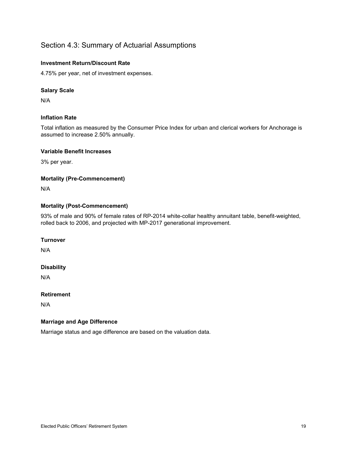#### <span id="page-23-0"></span>Section 4.3: Summary of Actuarial Assumptions

#### **Investment Return/Discount Rate**

4.75% per year, net of investment expenses.

#### **Salary Scale**

N/A

#### **Inflation Rate**

Total inflation as measured by the Consumer Price Index for urban and clerical workers for Anchorage is assumed to increase 2.50% annually.

#### **Variable Benefit Increases**

3% per year.

#### **Mortality (Pre-Commencement)**

N/A

#### **Mortality (Post-Commencement)**

93% of male and 90% of female rates of RP-2014 white-collar healthy annuitant table, benefit-weighted, rolled back to 2006, and projected with MP-2017 generational improvement.

#### **Turnover**

N/A

#### **Disability**

N/A

#### **Retirement**

N/A

#### **Marriage and Age Difference**

Marriage status and age difference are based on the valuation data.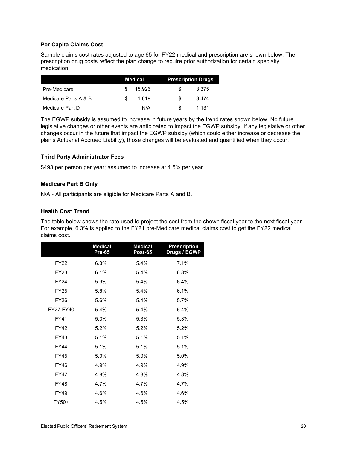#### **Per Capita Claims Cost**

Sample claims cost rates adjusted to age 65 for FY22 medical and prescription are shown below. The prescription drug costs reflect the plan change to require prior authorization for certain specialty medication.

|                      | Medical |        | <b>Prescription Drugs</b> |       |  |  |
|----------------------|---------|--------|---------------------------|-------|--|--|
| Pre-Medicare         | S       | 15.926 | S.                        | 3.375 |  |  |
| Medicare Parts A & B | \$.     | 1.619  | £.                        | 3.474 |  |  |
| Medicare Part D      |         | N/A    | S.                        | 1.131 |  |  |

The EGWP subsidy is assumed to increase in future years by the trend rates shown below. No future legislative changes or other events are anticipated to impact the EGWP subsidy. If any legislative or other changes occur in the future that impact the EGWP subsidy (which could either increase or decrease the plan's Actuarial Accrued Liability), those changes will be evaluated and quantified when they occur.

#### **Third Party Administrator Fees**

\$493 per person per year; assumed to increase at 4.5% per year.

#### **Medicare Part B Only**

N/A - All participants are eligible for Medicare Parts A and B.

#### **Health Cost Trend**

The table below shows the rate used to project the cost from the shown fiscal year to the next fiscal year. For example, 6.3% is applied to the FY21 pre-Medicare medical claims cost to get the FY22 medical claims cost.

|             | <b>Medical</b><br><b>Pre-65</b> | <b>Medical</b><br><b>Post-65</b> | <b>Prescription</b><br>Drugs / EGWP |
|-------------|---------------------------------|----------------------------------|-------------------------------------|
| <b>FY22</b> | 6.3%                            | 5.4%                             | 7.1%                                |
| FY23        | 6.1%                            | 5.4%                             | 6.8%                                |
| <b>FY24</b> | 5.9%                            | 5.4%                             | 6.4%                                |
| <b>FY25</b> | 5.8%                            | 5.4%                             | 6.1%                                |
| <b>FY26</b> | 5.6%                            | 5.4%                             | 5.7%                                |
| FY27-FY40   | 5.4%                            | 5.4%                             | 5.4%                                |
| <b>FY41</b> | 5.3%                            | 5.3%                             | 5.3%                                |
| <b>FY42</b> | 5.2%                            | 5.2%                             | 5.2%                                |
| FY43        | 5.1%                            | 5.1%                             | 5.1%                                |
| <b>FY44</b> | 5.1%                            | 5.1%                             | 5.1%                                |
| <b>FY45</b> | 5.0%                            | 5.0%                             | 5.0%                                |
| FY46        | 4.9%                            | 4.9%                             | 4.9%                                |
| <b>FY47</b> | 4.8%                            | 4.8%                             | 4.8%                                |
| <b>FY48</b> | 4.7%                            | 4.7%                             | 4.7%                                |
| FY49        | 4.6%                            | 4.6%                             | 4.6%                                |
| FY50+       | 4.5%                            | 4.5%                             | 4.5%                                |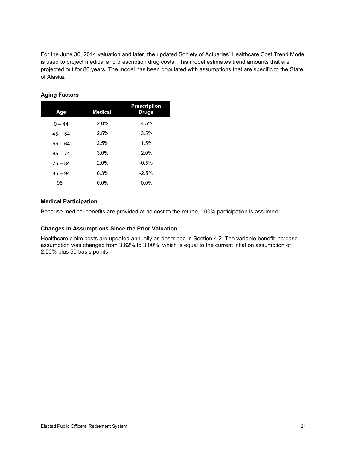For the June 30, 2014 valuation and later, the updated Society of Actuaries' Healthcare Cost Trend Model is used to project medical and prescription drug costs. This model estimates trend amounts that are projected out for 80 years. The model has been populated with assumptions that are specific to the State of Alaska.

| Age       | <b>Medical</b> | <b>Prescription</b><br>Drugs |
|-----------|----------------|------------------------------|
| $0 - 44$  | 2.0%           | 4.5%                         |
| $45 - 54$ | 2.5%           | 3.5%                         |
| $55 - 64$ | 2.5%           | 1.5%                         |
| $65 - 74$ | 3.0%           | 2.0%                         |
| $75 - 84$ | 2.0%           | $-0.5%$                      |
| $85 - 94$ | 0.3%           | $-2.5%$                      |
| $95+$     | $0.0\%$        | $0.0\%$                      |

#### **Aging Factors**

#### **Medical Participation**

Because medical benefits are provided at no cost to the retiree, 100% participation is assumed.

#### <span id="page-25-0"></span>**Changes in Assumptions Since the Prior Valuation**

Healthcare claim costs are updated annually as described in Section 4.2. The variable benefit increase assumption was changed from 3.62% to 3.00%, which is equal to the current inflation assumption of 2.50% plus 50 basis points.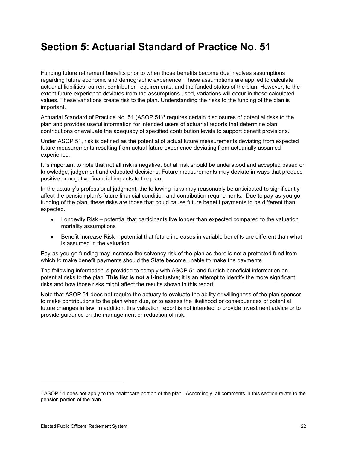## **Section 5: Actuarial Standard of Practice No. 51**

Funding future retirement benefits prior to when those benefits become due involves assumptions regarding future economic and demographic experience. These assumptions are applied to calculate actuarial liabilities, current contribution requirements, and the funded status of the plan. However, to the extent future experience deviates from the assumptions used, variations will occur in these calculated values. These variations create risk to the plan. Understanding the risks to the funding of the plan is important.

Actuarial Standard of Practice No. 51 (ASOP 51)[1](#page-26-0) requires certain disclosures of potential risks to the plan and provides useful information for intended users of actuarial reports that determine plan contributions or evaluate the adequacy of specified contribution levels to support benefit provisions.

Under ASOP 51, risk is defined as the potential of actual future measurements deviating from expected future measurements resulting from actual future experience deviating from actuarially assumed experience.

It is important to note that not all risk is negative, but all risk should be understood and accepted based on knowledge, judgement and educated decisions. Future measurements may deviate in ways that produce positive or negative financial impacts to the plan.

In the actuary's professional judgment, the following risks may reasonably be anticipated to significantly affect the pension plan's future financial condition and contribution requirements. Due to pay-as-you-go funding of the plan, these risks are those that could cause future benefit payments to be different than expected.

- Longevity Risk potential that participants live longer than expected compared to the valuation mortality assumptions
- Benefit Increase Risk potential that future increases in variable benefits are different than what is assumed in the valuation

Pay-as-you-go funding may increase the solvency risk of the plan as there is not a protected fund from which to make benefit payments should the State become unable to make the payments.

The following information is provided to comply with ASOP 51 and furnish beneficial information on potential risks to the plan. **This list is not all-inclusive**; it is an attempt to identify the more significant risks and how those risks might affect the results shown in this report.

Note that ASOP 51 does not require the actuary to evaluate the ability or willingness of the plan sponsor to make contributions to the plan when due, or to assess the likelihood or consequences of potential future changes in law. In addition, this valuation report is not intended to provide investment advice or to provide guidance on the management or reduction of risk.

<span id="page-26-0"></span><sup>1</sup> ASOP 51 does not apply to the healthcare portion of the plan. Accordingly, all comments in this section relate to the pension portion of the plan.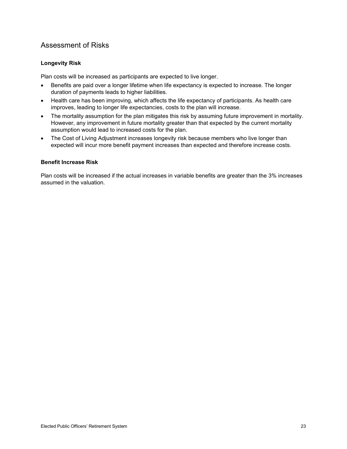#### Assessment of Risks

#### **Longevity Risk**

Plan costs will be increased as participants are expected to live longer.

- Benefits are paid over a longer lifetime when life expectancy is expected to increase. The longer duration of payments leads to higher liabilities.
- Health care has been improving, which affects the life expectancy of participants. As health care improves, leading to longer life expectancies, costs to the plan will increase.
- The mortality assumption for the plan mitigates this risk by assuming future improvement in mortality. However, any improvement in future mortality greater than that expected by the current mortality assumption would lead to increased costs for the plan.
- The Cost of Living Adjustment increases longevity risk because members who live longer than expected will incur more benefit payment increases than expected and therefore increase costs.

#### **Benefit Increase Risk**

Plan costs will be increased if the actual increases in variable benefits are greater than the 3% increases assumed in the valuation.